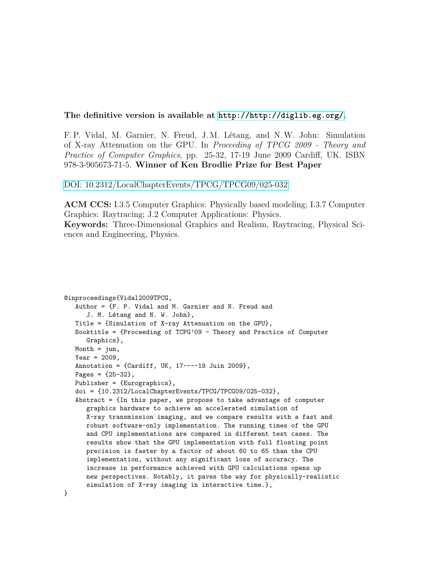#### **The definitive version is available at <http://http://diglib.eg.org/>.**

F. P. Vidal, M. Garnier, N. Freud, J. M. Létang, and N.W. John: Simulation of X-ray Attenuation on the GPU. In *Proceeding of TPCG 2009 - Theory and Practice of Computer Graphics*, pp. 25-32, 17-19 June 2009 Cardiff, UK. ISBN 978-3-905673-71-5. **Winner of Ken Brodlie Prize for Best Paper**

[DOI: 10.2312/LocalChapterEvents/TPCG/TPCG09/025-032](http://dx.doi.org/10.2312/LocalChapterEvents/TPCG/TPCG09/025-032)

**ACM CCS:** I.3.5 Computer Graphics: Physically based modeling; I.3.7 Computer Graphics: Raytracing; J.2 Computer Applications: Physics. **Keywords:** Three-Dimensional Graphics and Realism, Raytracing, Physical Sciences and Engineering, Physics.

```
@inproceedings{Vidal2009TPCG,
Author = {F. P. Vidal and M. Garnier and N. Freud and
   J. M. Létang and N. W. John},
Title = {Simulation of X-ray Attenuation on the GPU},
Booktitle = {Proceeding of TCPG'09 - Theory and Practice of Computer
   Graphics},
Month = \jmathun,
Year = 2009,Annotation = {Cardiff, UK, 17---19 Juin 2009},
Pages = {25-32},
Publisher = {Eurographics},
doi = {10.2312/LocalChapterEvents/TPCG/TPCG09/025-032},
Abstract = \{In this paper, we propose to take advantage of computergraphics hardware to achieve an accelerated simulation of
   X-ray transmission imaging, and we compare results with a fast and
   robust software-only implementation. The running times of the GPU
   and CPU implementations are compared in different test cases. The
   results show that the GPU implementation with full floating point
   precision is faster by a factor of about 60 to 65 than the CPU
   implementation, without any significant loss of accuracy. The
   increase in performance achieved with GPU calculations opens up
   new perspectives. Notably, it paves the way for physically-realistic
   simulation of X-ray imaging in interactive time.},
```
}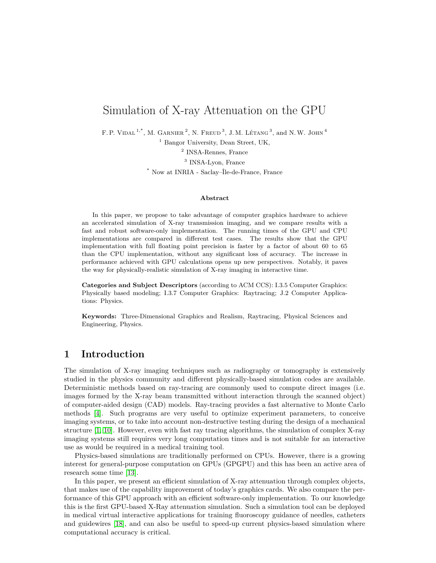# Simulation of X-ray Attenuation on the GPU

F. P. VIDAL<sup>1,\*</sup>, M. GARNIER<sup>2</sup>, N. FREUD<sup>3</sup>, J.M. LÉTANG<sup>3</sup>, and N.W. JOHN<sup>4</sup>

<sup>1</sup> Bangor University, Dean Street, UK,

2 INSA-Rennes, France

<sup>3</sup> INSA-Lyon, France

\* Now at INRIA - Saclay–Île-de-France, France

#### **Abstract**

In this paper, we propose to take advantage of computer graphics hardware to achieve an accelerated simulation of X-ray transmission imaging, and we compare results with a fast and robust software-only implementation. The running times of the GPU and CPU implementations are compared in different test cases. The results show that the GPU implementation with full floating point precision is faster by a factor of about 60 to 65 than the CPU implementation, without any significant loss of accuracy. The increase in performance achieved with GPU calculations opens up new perspectives. Notably, it paves the way for physically-realistic simulation of X-ray imaging in interactive time.

**Categories and Subject Descriptors** (according to ACM CCS): I.3.5 Computer Graphics: Physically based modeling; I.3.7 Computer Graphics: Raytracing; J.2 Computer Applications: Physics.

**Keywords:** Three-Dimensional Graphics and Realism, Raytracing, Physical Sciences and Engineering, Physics.

### **1 Introduction**

The simulation of X-ray imaging techniques such as radiography or tomography is extensively studied in the physics community and different physically-based simulation codes are available. Deterministic methods based on ray-tracing are commonly used to compute direct images (i.e. images formed by the X-ray beam transmitted without interaction through the scanned object) of computer-aided design (CAD) models. Ray-tracing provides a fast alternative to Monte Carlo methods [\[4\]](#page-13-0). Such programs are very useful to optimize experiment parameters, to conceive imaging systems, or to take into account non-destructive testing during the design of a mechanical structure [\[1,](#page-13-1) [10\]](#page-13-2). However, even with fast ray tracing algorithms, the simulation of complex X-ray imaging systems still requires very long computation times and is not suitable for an interactive use as would be required in a medical training tool.

Physics-based simulations are traditionally performed on CPUs. However, there is a growing interest for general-purpose computation on GPUs (GPGPU) and this has been an active area of research some time [\[13\]](#page-14-0).

In this paper, we present an efficient simulation of X-ray attenuation through complex objects, that makes use of the capability improvement of today's graphics cards. We also compare the performance of this GPU approach with an efficient software-only implementation. To our knowledge this is the first GPU-based X-Ray attenuation simulation. Such a simulation tool can be deployed in medical virtual interactive applications for training fluoroscopy guidance of needles, catheters and guidewires [\[18\]](#page-14-1), and can also be useful to speed-up current physics-based simulation where computational accuracy is critical.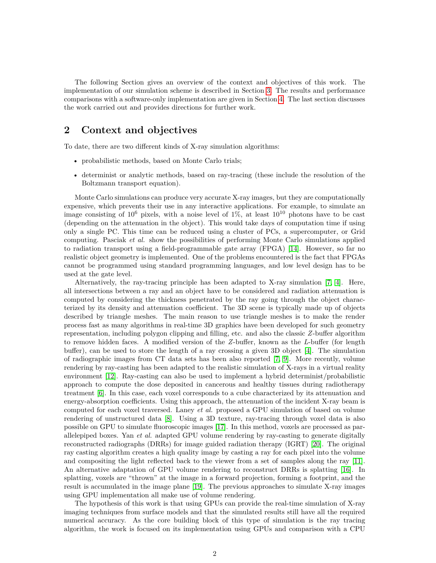The following Section gives an overview of the context and objectives of this work. The implementation of our simulation scheme is described in Section [3.](#page-3-0) The results and performance comparisons with a software-only implementation are given in Section [4.](#page-8-0) The last section discusses the work carried out and provides directions for further work.

# **2 Context and objectives**

To date, there are two different kinds of X-ray simulation algorithms:

- probabilistic methods, based on Monte Carlo trials;
- determinist or analytic methods, based on ray-tracing (these include the resolution of the Boltzmann transport equation).

Monte Carlo simulations can produce very accurate X-ray images, but they are computationally expensive, which prevents their use in any interactive applications. For example, to simulate an image consisting of  $10^6$  pixels, with a noise level of  $1\%$ , at least  $10^{10}$  photons have to be cast (depending on the attenuation in the object). This would take days of computation time if using only a single PC. This time can be reduced using a cluster of PCs, a supercomputer, or Grid computing. Pasciak *et al.* show the possibilities of performing Monte Carlo simulations applied to radiation transport using a field-programmable gate array (FPGA) [\[14\]](#page-14-2). However, so far no realistic object geometry is implemented. One of the problems encountered is the fact that FPGAs cannot be programmed using standard programming languages, and low level design has to be used at the gate level.

Alternatively, the ray-tracing principle has been adapted to X-ray simulation [\[7,](#page-13-3) [4\]](#page-13-0). Here, all intersections between a ray and an object have to be considered and radiation attenuation is computed by considering the thickness penetrated by the ray going through the object characterized by its density and attenuation coefficient. The 3D scene is typically made up of objects described by triangle meshes. The main reason to use triangle meshes is to make the render process fast as many algorithms in real-time 3D graphics have been developed for such geometry representation, including polygon clipping and filling, etc. and also the classic *Z*-buffer algorithm to remove hidden faces. A modified version of the *Z*-buffer, known as the *L*-buffer (for length buffer), can be used to store the length of a ray crossing a given 3D object [\[4\]](#page-13-0). The simulation of radiographic images from CT data sets has been also reported [\[7,](#page-13-3) [9\]](#page-13-4). More recently, volume rendering by ray-casting has been adapted to the realistic simulation of X-rays in a virtual reality environment [\[12\]](#page-14-3). Ray-casting can also be used to implement a hybrid determinist/probabilistic approach to compute the dose deposited in cancerous and healthy tissues during radiotherapy treatment [\[6\]](#page-13-5). In this case, each voxel corresponds to a cube characterized by its attenuation and energy-absorption coefficients. Using this approach, the attenuation of the incident X-ray beam is computed for each voxel traversed. Laney *et al.* proposed a GPU simulation of based on volume rendering of unstructured data [\[8\]](#page-13-6). Using a 3D texture, ray-tracing through voxel data is also possible on GPU to simulate fluoroscopic images [\[17\]](#page-14-4). In this method, voxels are processed as parallelepiped boxes. Yan *et al.* adapted GPU volume rendering by ray-casting to generate digitally reconstructed radiographs (DRRs) for image guided radiation therapy (IGRT) [\[20\]](#page-14-5). The original ray casting algorithm creates a high quality image by casting a ray for each pixel into the volume and compositing the light reflected back to the viewer from a set of samples along the ray [\[11\]](#page-13-7). An alternative adaptation of GPU volume rendering to reconstruct DRRs is splatting [\[16\]](#page-14-6). In splatting, voxels are "thrown" at the image in a forward projection, forming a footprint, and the result is accumulated in the image plane [\[19\]](#page-14-7). The previous approaches to simulate X-ray images using GPU implementation all make use of volume rendering.

The hypothesis of this work is that using GPUs can provide the real-time simulation of X-ray imaging techniques from surface models and that the simulated results still have all the required numerical accuracy. As the core building block of this type of simulation is the ray tracing algorithm, the work is focused on its implementation using GPUs and comparison with a CPU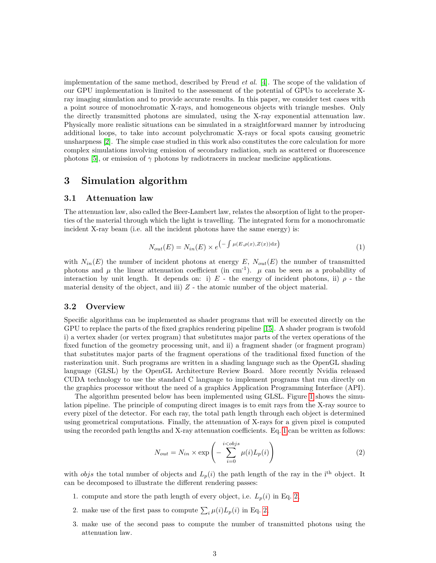implementation of the same method, described by Freud *et al.* [\[4\]](#page-13-0). The scope of the validation of our GPU implementation is limited to the assessment of the potential of GPUs to accelerate Xray imaging simulation and to provide accurate results. In this paper, we consider test cases with a point source of monochromatic X-rays, and homogeneous objects with triangle meshes. Only the directly transmitted photons are simulated, using the X-ray exponential attenuation law. Physically more realistic situations can be simulated in a straightforward manner by introducing additional loops, to take into account polychromatic X-rays or focal spots causing geometric unsharpness [\[2\]](#page-13-8). The simple case studied in this work also constitutes the core calculation for more complex simulations involving emission of secondary radiation, such as scattered or fluorescence photons [\[5\]](#page-13-9), or emission of  $\gamma$  photons by radiotracers in nuclear medicine applications.

### <span id="page-3-0"></span>**3 Simulation algorithm**

#### **3.1 Attenuation law**

The attenuation law, also called the Beer-Lambert law, relates the absorption of light to the properties of the material through which the light is travelling. The integrated form for a monochromatic incident X-ray beam (i.e. all the incident photons have the same energy) is:

<span id="page-3-1"></span>
$$
N_{out}(E) = N_{in}(E) \times e^{-\int \mu(E, \rho(x), Z(x)) dx}
$$
\n(1)

with  $N_{in}(E)$  the number of incident photons at energy  $E$ ,  $N_{out}(E)$  the number of transmitted photons and  $\mu$  the linear attenuation coefficient (in cm<sup>-1</sup>).  $\mu$  can be seen as a probability of interaction by unit length. It depends on: i)  $E$  - the energy of incident photons, ii)  $\rho$  - the material density of the object, and iii)  $Z$  - the atomic number of the object material.

#### **3.2 Overview**

Specific algorithms can be implemented as shader programs that will be executed directly on the GPU to replace the parts of the fixed graphics rendering pipeline [\[15\]](#page-14-8). A shader program is twofold i) a vertex shader (or vertex program) that substitutes major parts of the vertex operations of the fixed function of the geometry processing unit, and ii) a fragment shader (or fragment program) that substitutes major parts of the fragment operations of the traditional fixed function of the rasterization unit. Such programs are written in a shading language such as the OpenGL shading language (GLSL) by the OpenGL Architecture Review Board. More recently Nvidia released CUDA technology to use the standard C language to implement programs that run directly on the graphics processor without the need of a graphics Application Programming Interface (API).

The algorithm presented below has been implemented using GLSL. Figure [1](#page-4-0) shows the simulation pipeline. The principle of computing direct images is to emit rays from the X-ray source to every pixel of the detector. For each ray, the total path length through each object is determined using geometrical computations. Finally, the attenuation of X-rays for a given pixel is computed using the recorded path lengths and X-ray attenuation coefficients. Eq. [1](#page-3-1) can be written as follows:

<span id="page-3-2"></span>
$$
N_{out} = N_{in} \times \exp\left(-\sum_{i=0}^{i < obs} \mu(i) L_p(i)\right)
$$
 (2)

with *objs* the total number of objects and  $L_p(i)$  the path length of the ray in the i<sup>th</sup> object. It can be decomposed to illustrate the different rendering passes:

- 1. compute and store the path length of every object, i.e.  $L_p(i)$  in Eq. [2,](#page-3-2)
- 2. make use of the first pass to compute  $\sum_i \mu(i) L_p(i)$  in Eq. [2,](#page-3-2)
- 3. make use of the second pass to compute the number of transmitted photons using the attenuation law.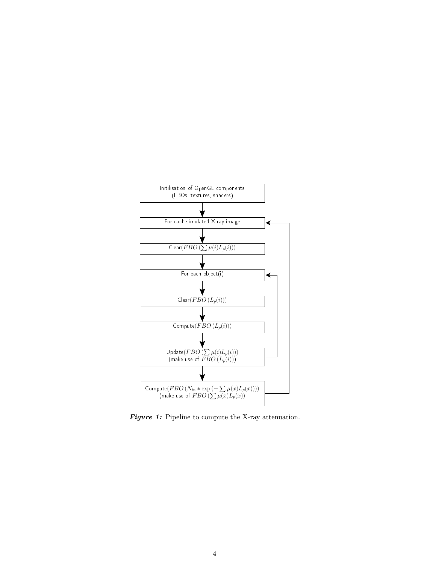<span id="page-4-0"></span>

*Figure 1:* Pipeline to compute the X-ray attenuation.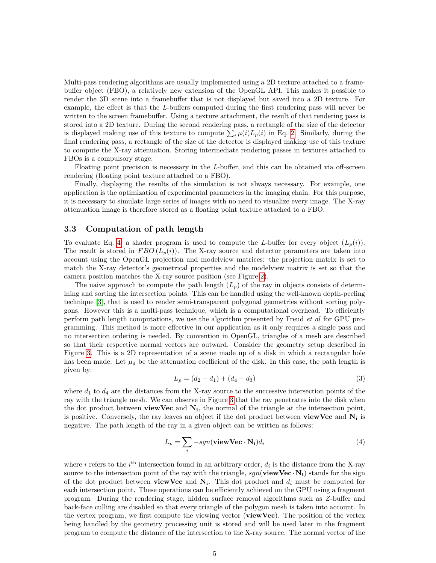Multi-pass rendering algorithms are usually implemented using a 2D texture attached to a framebuffer object (FBO), a relatively new extension of the OpenGL API. This makes it possible to render the 3D scene into a framebuffer that is not displayed but saved into a 2D texture. For example, the effect is that the *L*-buffers computed during the first rendering pass will never be written to the screen framebuffer. Using a texture attachment, the result of that rendering pass is stored into a 2D texture. During the second rendering pass, a rectangle of the size of the detector is displayed making use of this texture to compute  $\sum_i \mu(i) L_p(i)$  in Eq. [2.](#page-3-2) Similarly, during the final rendering pass, a rectangle of the size of the detector is displayed making use of this texture to compute the X-ray attenuation. Storing intermediate rendering passes in textures attached to FBOs is a compulsory stage.

Floating point precision is necessary in the *L*-buffer, and this can be obtained via off-screen rendering (floating point texture attached to a FBO).

Finally, displaying the results of the simulation is not always necessary. For example, one application is the optimization of experimental parameters in the imaging chain. For this purpose, it is necessary to simulate large series of images with no need to visualize every image. The X-ray attenuation image is therefore stored as a floating point texture attached to a FBO.

#### **3.3 Computation of path length**

To evaluate Eq. [4,](#page-5-0) a shader program is used to compute the *L*-buffer for every object  $(L_p(i))$ . The result is stored in *FBO*  $(L_p(i))$ . The X-ray source and detector parameters are taken into account using the OpenGL projection and modelview matrices: the projection matrix is set to match the X-ray detector's geometrical properties and the modelview matrix is set so that the camera position matches the X-ray source position (see Figure [2\)](#page-6-0).

The naive approach to compute the path length  $(L_p)$  of the ray in objects consists of determining and sorting the intersection points. This can be handled using the well-known depth-peeling technique [\[3\]](#page-13-10), that is used to render semi-transparent polygonal geometries without sorting polygons. However this is a multi-pass technique, which is a computational overhead. To efficiently perform path length computations, we use the algorithm presented by Freud *et al* for GPU programming. This method is more effective in our application as it only requires a single pass and no intersection ordering is needed. By convention in OpenGL, triangles of a mesh are described so that their respective normal vectors are outward. Consider the geometry setup described in Figure [3.](#page-6-1) This is a 2D representation of a scene made up of a disk in which a rectangular hole has been made. Let  $\mu_d$  be the attenuation coefficient of the disk. In this case, the path length is given by:

$$
L_p = (d_2 - d_1) + (d_4 - d_3) \tag{3}
$$

where  $d_1$  to  $d_4$  are the distances from the X-ray source to the successive intersection points of the ray with the triangle mesh. We can observe in Figure [3](#page-6-1) that the ray penetrates into the disk when the dot product between **viewVec** and **N<sup>i</sup>** , the normal of the triangle at the intersection point, is positive. Conversely, the ray leaves an object if the dot product between **viewVec** and **N<sup>i</sup>** is negative. The path length of the ray in a given object can be written as follows:

<span id="page-5-0"></span>
$$
L_p = \sum_{i} -sgn(\mathbf{viewVec} \cdot \mathbf{N_i})d_i
$$
 (4)

where *i* refers to the  $i^{\text{th}}$  intersection found in an arbitrary order,  $d_i$  is the distance from the X-ray source to the intersection point of the ray with the triangle,  $sgn(\mathbf{viewVec} \cdot \mathbf{N_i})$  stands for the sign of the dot product between **viewVec** and  $N_i$ . This dot product and  $d_i$  must be computed for each intersection point. These operations can be efficiently achieved on the GPU using a fragment program. During the rendering stage, hidden surface removal algorithms such as *Z*-buffer and back-face culling are disabled so that every triangle of the polygon mesh is taken into account. In the vertex program, we first compute the viewing vector (**viewVec**). The position of the vertex being handled by the geometry processing unit is stored and will be used later in the fragment program to compute the distance of the intersection to the X-ray source. The normal vector of the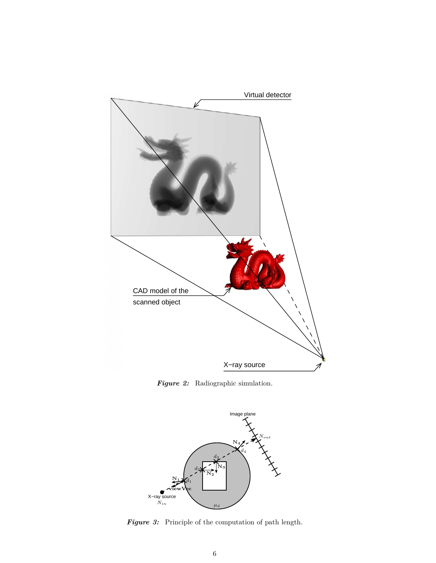<span id="page-6-0"></span>

*Figure 2:* Radiographic simulation.

<span id="page-6-1"></span>

*Figure 3:* Principle of the computation of path length.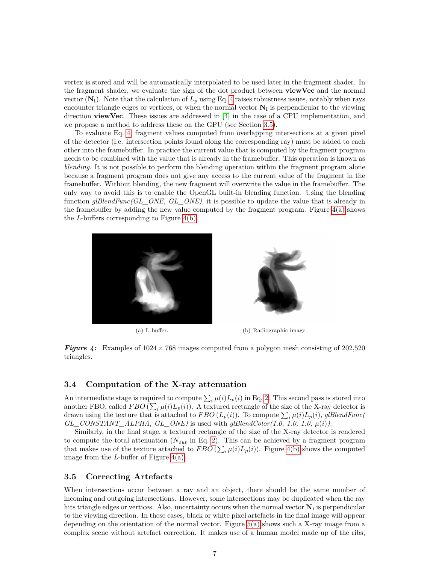vertex is stored and will be automatically interpolated to be used later in the fragment shader. In the fragment shader, we evaluate the sign of the dot product between **viewVec** and the normal vector  $(N_i)$ . Note that the calculation of  $L_p$  using Eq. [4](#page-5-0) raises robustness issues, notably when rays encounter triangle edges or vertices, or when the normal vector **N<sup>i</sup>** is perpendicular to the viewing direction **viewVec**. These issues are addressed in [\[4\]](#page-13-0) in the case of a CPU implementation, and we propose a method to address these on the GPU (see Section [3.5\)](#page-7-0).

To evaluate Eq. [4,](#page-5-0) fragment values computed from overlapping intersections at a given pixel of the detector (i.e. intersection points found along the corresponding ray) must be added to each other into the framebuffer. In practice the current value that is computed by the fragment program needs to be combined with the value that is already in the framebuffer. This operation is known as *blending*. It is not possible to perform the blending operation within the fragment program alone because a fragment program does not give any access to the current value of the fragment in the framebuffer. Without blending, the new fragment will overwrite the value in the framebuffer. The only way to avoid this is to enable the OpenGL built-in blending function. Using the blending function *glBlendFunc(GL\_ONE, GL\_ONE)*, it is possible to update the value that is already in the framebuffer by adding the new value computed by the fragment program. Figure [4\(a\)](#page-7-1) shows the *L*-buffers corresponding to Figure [4\(b\).](#page-7-2)



<span id="page-7-2"></span>

(a) L-buffer. (b) Radiographic image.

<span id="page-7-1"></span>*Figure 4:* Examples of  $1024 \times 768$  images computed from a polygon mesh consisting of 202,520 triangles.

#### **3.4 Computation of the X-ray attenuation**

An intermediate stage is required to compute  $\sum_i \mu(i) L_p(i)$  in Eq. [2.](#page-3-2) This second pass is stored into another FBO, called  $FBO(\sum_{i} \mu(i) L_{p}(i))$ . A textured rectangle of the size of the X-ray detector is drawn using the texture that is attached to  $FBO(L_p(i))$ . To compute  $\sum_i \mu(i)L_p(i)$ , glBlendFunc(  $GL\_CONSTANT\_ALPHA$ ,  $GL\_ONE$ ) is used with  $gIBlendColor(1.0, 1.0, 1.0, \mu(i))$ .

Similarly, in the final stage, a textured rectangle of the size of the X-ray detector is rendered to compute the total attenuation (*Nout* in Eq. [2\)](#page-3-2). This can be achieved by a fragment program that makes use of the texture attached to  $FBO\left(\sum_{i}\mu(i)L_p(i)\right)$ . Figure [4\(b\)](#page-7-2) shows the computed image from the *L*-buffer of Figure [4\(a\).](#page-7-1)

#### <span id="page-7-0"></span>**3.5 Correcting Artefacts**

When intersections occur between a ray and an object, there should be the same number of incoming and outgoing intersections. However, some intersections may be duplicated when the ray hits triangle edges or vertices. Also, uncertainty occurs when the normal vector **N<sup>i</sup>** is perpendicular to the viewing direction. In these cases, black or white pixel artefacts in the final image will appear depending on the orientation of the normal vector. Figure [5\(a\)](#page-8-1) shows such a X-ray image from a complex scene without artefact correction. It makes use of a human model made up of the ribs,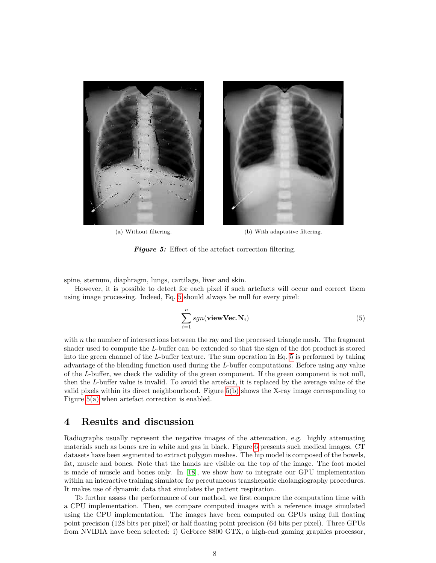

<span id="page-8-1"></span>(a) Without filtering. (b) With adaptative filtering.

<span id="page-8-3"></span>*Figure 5:* Effect of the artefact correction filtering.

spine, sternum, diaphragm, lungs, cartilage, liver and skin.

However, it is possible to detect for each pixel if such artefacts will occur and correct them using image processing. Indeed, Eq. [5](#page-8-2) should always be null for every pixel:

<span id="page-8-2"></span>
$$
\sum_{i=1}^{n} sgn(\mathbf{viewVec}.\mathbf{N_i})
$$
\n(5)

with  $n$  the number of intersections between the ray and the processed triangle mesh. The fragment shader used to compute the *L*-buffer can be extended so that the sign of the dot product is stored into the green channel of the *L*-buffer texture. The sum operation in Eq. [5](#page-8-2) is performed by taking advantage of the blending function used during the *L*-buffer computations. Before using any value of the *L*-buffer, we check the validity of the green component. If the green component is not null, then the *L*-buffer value is invalid. To avoid the artefact, it is replaced by the average value of the valid pixels within its direct neighbourhood. Figure [5\(b\)](#page-8-3) shows the X-ray image corresponding to Figure [5\(a\)](#page-8-1) when artefact correction is enabled.

### <span id="page-8-0"></span>**4 Results and discussion**

Radiographs usually represent the negative images of the attenuation, e.g. highly attenuating materials such as bones are in white and gas in black. Figure [6](#page-9-0) presents such medical images. CT datasets have been segmented to extract polygon meshes. The hip model is composed of the bowels, fat, muscle and bones. Note that the hands are visible on the top of the image. The foot model is made of muscle and bones only. In [\[18\]](#page-14-1), we show how to integrate our GPU implementation within an interactive training simulator for percutaneous transhepatic cholangiography procedures. It makes use of dynamic data that simulates the patient respiration.

To further assess the performance of our method, we first compare the computation time with a CPU implementation. Then, we compare computed images with a reference image simulated using the CPU implementation. The images have been computed on GPUs using full floating point precision (128 bits per pixel) or half floating point precision (64 bits per pixel). Three GPUs from NVIDIA have been selected: i) GeForce 8800 GTX, a high-end gaming graphics processor,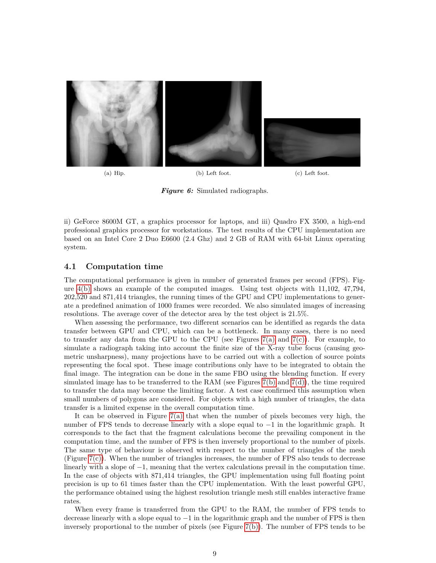<span id="page-9-0"></span>

(a) Hip. (b) Left foot. (c) Left foot.

*Figure 6:* Simulated radiographs.

ii) GeForce 8600M GT, a graphics processor for laptops, and iii) Quadro FX 3500, a high-end professional graphics processor for workstations. The test results of the CPU implementation are based on an Intel Core 2 Duo E6600 (2.4 Ghz) and 2 GB of RAM with 64-bit Linux operating system.

#### **4.1 Computation time**

The computational performance is given in number of generated frames per second (FPS). Figure [4\(b\)](#page-7-2) shows an example of the computed images. Using test objects with 11,102, 47,794, 202,520 and 871,414 triangles, the running times of the GPU and CPU implementations to generate a predefined animation of 1000 frames were recorded. We also simulated images of increasing resolutions. The average cover of the detector area by the test object is 21.5%.

When assessing the performance, two different scenarios can be identified as regards the data transfer between GPU and CPU, which can be a bottleneck. In many cases, there is no need to transfer any data from the GPU to the CPU (see Figures  $7(a)$  and  $7(c)$ ). For example, to simulate a radiograph taking into account the finite size of the X-ray tube focus (causing geometric unsharpness), many projections have to be carried out with a collection of source points representing the focal spot. These image contributions only have to be integrated to obtain the final image. The integration can be done in the same FBO using the blending function. If every simulated image has to be transferred to the RAM (see Figures [7\(b\)](#page-10-2) and [7\(d\)\)](#page-10-3), the time required to transfer the data may become the limiting factor. A test case confirmed this assumption when small numbers of polygons are considered. For objects with a high number of triangles, the data transfer is a limited expense in the overall computation time.

It can be observed in Figure  $7(a)$  that when the number of pixels becomes very high, the number of FPS tends to decrease linearly with a slope equal to −1 in the logarithmic graph. It corresponds to the fact that the fragment calculations become the prevailing component in the computation time, and the number of FPS is then inversely proportional to the number of pixels. The same type of behaviour is observed with respect to the number of triangles of the mesh (Figure  $7(c)$ ). When the number of triangles increases, the number of FPS also tends to decrease linearly with a slope of −1, meaning that the vertex calculations prevail in the computation time. In the case of objects with 871,414 triangles, the GPU implementation using full floating point precision is up to 61 times faster than the CPU implementation. With the least powerful GPU, the performance obtained using the highest resolution triangle mesh still enables interactive frame rates.

When every frame is transferred from the GPU to the RAM, the number of FPS tends to decrease linearly with a slope equal to −1 in the logarithmic graph and the number of FPS is then inversely proportional to the number of pixels (see Figure [7\(b\)\)](#page-10-2). The number of FPS tends to be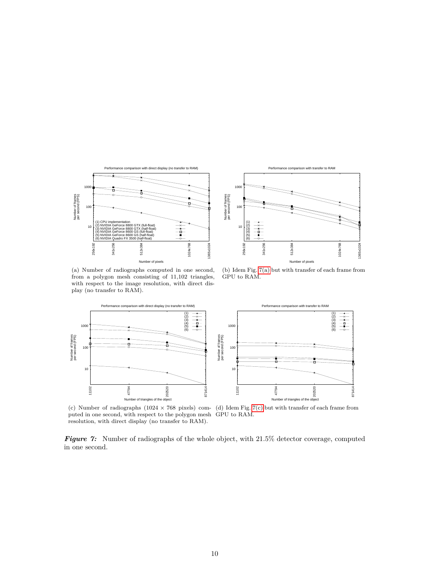

 $10$  100 1000 256x192 341x256 512x384 1024x768 1365x1024 Number of frames per second (FPS) Number of pixels Performance comparison with transfer to RAM (1) (2) (3) (4) (5) (6)

<span id="page-10-0"></span>(a) Number of radiographs computed in one second, from a polygon mesh consisting of 11,102 triangles, with respect to the image resolution, with direct display (no transfer to RAM).

<span id="page-10-3"></span><span id="page-10-2"></span>(b) Idem Fig. [7\(a\)](#page-10-0) but with transfer of each frame from GPU to RAM.



<span id="page-10-1"></span>(c) Number of radiographs (1024 × 768 pixels) com-(d) Idem Fig. [7\(c\)](#page-10-1) but with transfer of each frame from puted in one second, with respect to the polygon mesh GPU to RAM. resolution, with direct display (no transfer to RAM).

*Figure 7:* Number of radiographs of the whole object, with 21.5% detector coverage, computed in one second.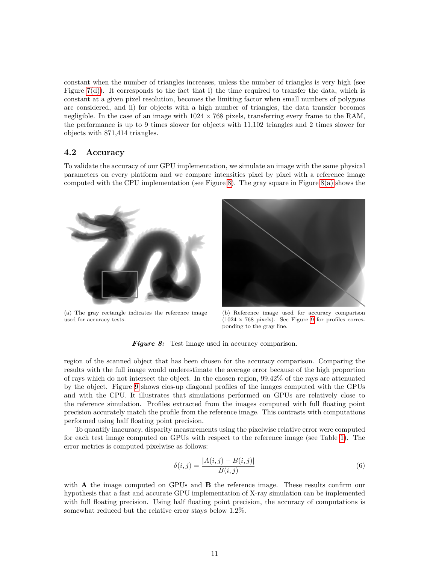constant when the number of triangles increases, unless the number of triangles is very high (see Figure  $7(d)$ ). It corresponds to the fact that i) the time required to transfer the data, which is constant at a given pixel resolution, becomes the limiting factor when small numbers of polygons are considered, and ii) for objects with a high number of triangles, the data transfer becomes negligible. In the case of an image with  $1024 \times 768$  pixels, transferring every frame to the RAM, the performance is up to 9 times slower for objects with 11,102 triangles and 2 times slower for objects with 871,414 triangles.

#### **4.2 Accuracy**

To validate the accuracy of our GPU implementation, we simulate an image with the same physical parameters on every platform and we compare intensities pixel by pixel with a reference image computed with the CPU implementation (see Figure [8\)](#page-11-0). The gray square in Figure  $8(a)$  shows the

<span id="page-11-1"></span><span id="page-11-0"></span>

(a) The gray rectangle indicates the reference image used for accuracy tests.



(b) Reference image used for accuracy comparison  $(1024 \times 768 \text{ pixels})$ . See Figure [9](#page-12-0) for profiles corresponding to the gray line.

<span id="page-11-2"></span>*Figure 8:* Test image used in accuracy comparison.

region of the scanned object that has been chosen for the accuracy comparison. Comparing the results with the full image would underestimate the average error because of the high proportion of rays which do not intersect the object. In the chosen region, 99.42% of the rays are attenuated by the object. Figure [9](#page-12-0) shows clos-up diagonal profiles of the images computed with the GPUs and with the CPU. It illustrates that simulations performed on GPUs are relatively close to the reference simulation. Profiles extracted from the images computed with full floating point precision accurately match the profile from the reference image. This contrasts with computations performed using half floating point precision.

To quantify inacuracy, disparity measurements using the pixelwise relative error were computed for each test image computed on GPUs with respect to the reference image (see Table [1\)](#page-12-1). The error metrics is computed pixelwise as follows:

$$
\delta(i,j) = \frac{|A(i,j) - B(i,j)|}{B(i,j)}
$$
\n(6)

with **A** the image computed on GPUs and **B** the reference image. These results confirm our hypothesis that a fast and accurate GPU implementation of X-ray simulation can be implemented with full floating precision. Using half floating point precision, the accuracy of computations is somewhat reduced but the relative error stays below 1.2%.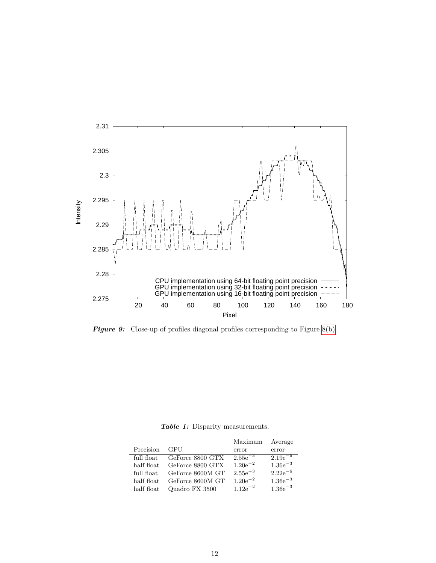<span id="page-12-0"></span>

**Figure 9:** Close-up of profiles diagonal profiles corresponding to Figure [8\(b\).](#page-11-2)

*Table 1:* Disparity measurements.

<span id="page-12-1"></span>

|            |                  | Maximum      | Average      |
|------------|------------------|--------------|--------------|
| Precision  | GPU              | error        | error        |
| full float | GeForce 8800 GTX | $2.55e^{-3}$ | $2.19e^{-6}$ |
| half float | GeForce 8800 GTX | $1.20e^{-2}$ | $1.36e^{-3}$ |
| full float | GeForce 8600M GT | $2.55e^{-3}$ | $2.22e^{-6}$ |
| half float | GeForce 8600M GT | $1.20e^{-2}$ | $1.36e^{-3}$ |
| half float | Quadro FX 3500   | $1.12e^{-2}$ | $1.36e^{-3}$ |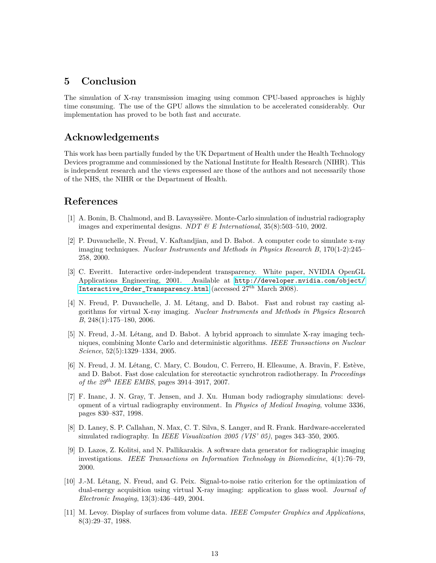### **5 Conclusion**

The simulation of X-ray transmission imaging using common CPU-based approaches is highly time consuming. The use of the GPU allows the simulation to be accelerated considerably. Our implementation has proved to be both fast and accurate.

# **Acknowledgements**

This work has been partially funded by the UK Department of Health under the Health Technology Devices programme and commissioned by the National Institute for Health Research (NIHR). This is independent research and the views expressed are those of the authors and not necessarily those of the NHS, the NIHR or the Department of Health.

## **References**

- <span id="page-13-1"></span>[1] A. Bonin, B. Chalmond, and B. Lavayssière. Monte-Carlo simulation of industrial radiography images and experimental designs. *NDT & E International*, 35(8):503–510, 2002.
- <span id="page-13-8"></span>[2] P. Duvauchelle, N. Freud, V. Kaftandjian, and D. Babot. A computer code to simulate x-ray imaging techniques. *Nuclear Instruments and Methods in Physics Research B*, 170(1-2):245– 258, 2000.
- <span id="page-13-10"></span>[3] C. Everitt. Interactive order-independent transparency. White paper, NVIDIA OpenGL Applications Engineering, 2001. Available at [http://developer.nvidia.com/object/](http://developer.nvidia.com/object/Interactive_Order_Transparency.html) Interactive Order Transparency.html (accessed 27<sup>th</sup> March 2008).
- <span id="page-13-0"></span>[4] N. Freud, P. Duvauchelle, J. M. Létang, and D. Babot. Fast and robust ray casting algorithms for virtual X-ray imaging. *Nuclear Instruments and Methods in Physics Research B*, 248(1):175–180, 2006.
- <span id="page-13-9"></span>[5] N. Freud, J.-M. Létang, and D. Babot. A hybrid approach to simulate X-ray imaging techniques, combining Monte Carlo and deterministic algorithms. *IEEE Transactions on Nuclear Science*, 52(5):1329–1334, 2005.
- <span id="page-13-5"></span>[6] N. Freud, J. M. Létang, C. Mary, C. Boudou, C. Ferrero, H. Elleaume, A. Bravin, F. Estève, and D. Babot. Fast dose calculation for stereotactic synchrotron radiotherapy. In *Proceedings of the 29th IEEE EMBS*, pages 3914–3917, 2007.
- <span id="page-13-3"></span>[7] F. Inanc, J. N. Gray, T. Jensen, and J. Xu. Human body radiography simulations: development of a virtual radiography environment. In *Physics of Medical Imaging*, volume 3336, pages 830–837, 1998.
- <span id="page-13-6"></span>[8] D. Laney, S. P. Callahan, N. Max, C. T. Silva, S. Langer, and R. Frank. Hardware-accelerated simulated radiography. In *IEEE Visualization 2005 (VIS' 05)*, pages 343–350, 2005.
- <span id="page-13-4"></span>[9] D. Lazos, Z. Kolitsi, and N. Pallikarakis. A software data generator for radiographic imaging investigations. *IEEE Transactions on Information Technology in Biomedicine*, 4(1):76–79, 2000.
- <span id="page-13-2"></span>[10] J.-M. Létang, N. Freud, and G. Peix. Signal-to-noise ratio criterion for the optimization of dual-energy acquisition using virtual X-ray imaging: application to glass wool. *Journal of Electronic Imaging*, 13(3):436–449, 2004.
- <span id="page-13-7"></span>[11] M. Levoy. Display of surfaces from volume data. *IEEE Computer Graphics and Applications*, 8(3):29–37, 1988.